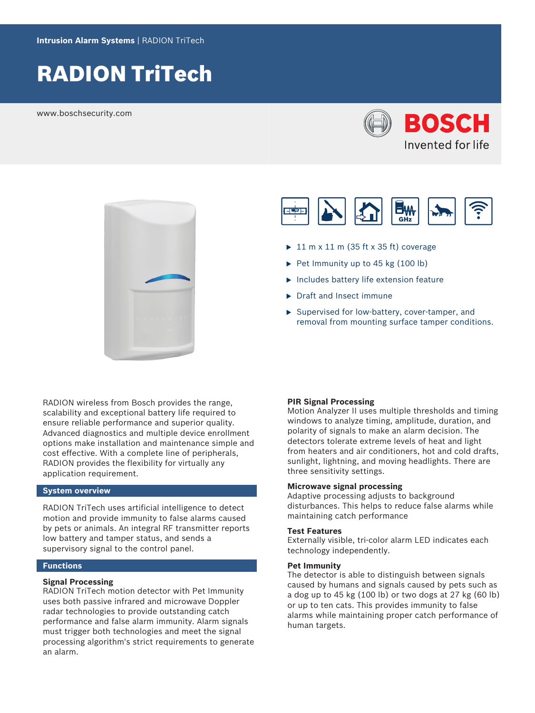# RADION TriTech

www.boschsecurity.com







- $\blacktriangleright$  11 m x 11 m (35 ft x 35 ft) coverage
- $\triangleright$  Pet Immunity up to 45 kg (100 lb)
- $\blacktriangleright$  Includes battery life extension feature
- $\blacktriangleright$  Draft and Insect immune
- $\blacktriangleright$  Supervised for low-battery, cover-tamper, and removal from mounting surface tamper conditions.

RADION wireless from Bosch provides the range, scalability and exceptional battery life required to ensure reliable performance and superior quality. Advanced diagnostics and multiple device enrollment options make installation and maintenance simple and cost effective. With a complete line of peripherals, RADION provides the flexibility for virtually any application requirement.

# **System overview**

RADION TriTech uses artificial intelligence to detect motion and provide immunity to false alarms caused by pets or animals. An integral RF transmitter reports low battery and tamper status, and sends a supervisory signal to the control panel.

# **Functions**

### **Signal Processing**

RADION TriTech motion detector with Pet Immunity uses both passive infrared and microwave Doppler radar technologies to provide outstanding catch performance and false alarm immunity. Alarm signals must trigger both technologies and meet the signal processing algorithm's strict requirements to generate an alarm.

#### **PIR Signal Processing**

Motion Analyzer II uses multiple thresholds and timing windows to analyze timing, amplitude, duration, and polarity of signals to make an alarm decision. The detectors tolerate extreme levels of heat and light from heaters and air conditioners, hot and cold drafts, sunlight, lightning, and moving headlights. There are three sensitivity settings.

#### **Microwave signal processing**

Adaptive processing adjusts to background disturbances. This helps to reduce false alarms while maintaining catch performance

### **Test Features**

Externally visible, tri-color alarm LED indicates each technology independently.

### **Pet Immunity**

The detector is able to distinguish between signals caused by humans and signals caused by pets such as a dog up to 45 kg (100 lb) or two dogs at 27 kg (60 lb) or up to ten cats. This provides immunity to false alarms while maintaining proper catch performance of human targets.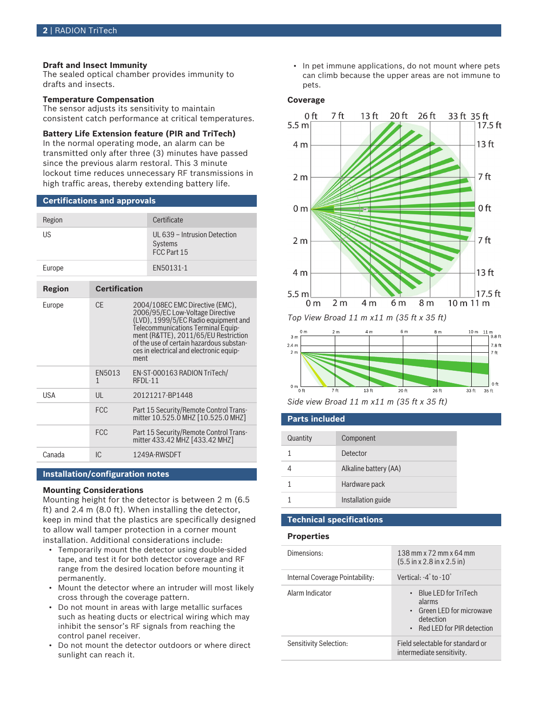# **Draft and Insect Immunity**

The sealed optical chamber provides immunity to drafts and insects.

### **Temperature Compensation**

The sensor adjusts its sensitivity to maintain consistent catch performance at critical temperatures.

#### **Battery Life Extension feature (PIR and TriTech)**

In the normal operating mode, an alarm can be transmitted only after three (3) minutes have passed since the previous alarm restoral. This 3 minute lockout time reduces unnecessary RF transmissions in high traffic areas, thereby extending battery life.

#### **Certifications and approvals**

| Region        |                      | Certificate                                                                                                                                       |
|---------------|----------------------|---------------------------------------------------------------------------------------------------------------------------------------------------|
| US            |                      | UL 639 - Intrusion Detection<br><b>Systems</b><br>FCC Part 15                                                                                     |
| Europe        |                      | EN50131-1                                                                                                                                         |
|               |                      |                                                                                                                                                   |
| <b>Region</b> | <b>Certification</b> |                                                                                                                                                   |
| Europe        | CF.                  | 2004/108EC EMC Directive (EMC),<br>2006/95/EC Low-Voltage Directive<br>(LVD), 1999/5/EC Radio equipment and<br>Tolocommunications Torminal Equin- |

|            |             | (LVD), 1999/9/EC Radio equipment and<br>Telecommunications Terminal Equip-<br>ment (R&TTE), 2011/65/EU Restriction<br>of the use of certain hazardous substan-<br>ces in electrical and electronic equip-<br>ment |
|------------|-------------|-------------------------------------------------------------------------------------------------------------------------------------------------------------------------------------------------------------------|
|            | EN5013<br>1 | EN-ST-000163 RADION TriTech/<br>RFDL-11                                                                                                                                                                           |
| <b>USA</b> | UL          | 20121217-BP1448                                                                                                                                                                                                   |
|            | <b>FCC</b>  | Part 15 Security/Remote Control Trans-<br>mitter 10.525.0 MHZ [10.525.0 MHZ]                                                                                                                                      |
|            | <b>FCC</b>  | Part 15 Security/Remote Control Trans-<br>mitter 433.42 MHZ [433.42 MHZ]                                                                                                                                          |
| Canada     | IС          | 1249A-RWSDFT                                                                                                                                                                                                      |

# **Installation/configuration notes**

#### **Mounting Considerations**

Mounting height for the detector is between 2 m (6.5 ft) and 2.4 m (8.0 ft). When installing the detector, keep in mind that the plastics are specifically designed to allow wall tamper protection in a corner mount installation. Additional considerations include:

- Temporarily mount the detector using double-sided tape, and test it for both detector coverage and RF range from the desired location before mounting it permanently.
- Mount the detector where an intruder will most likely cross through the coverage pattern.
- Do not mount in areas with large metallic surfaces such as heating ducts or electrical wiring which may inhibit the sensor's RF signals from reaching the control panel receiver.
- Do not mount the detector outdoors or where direct sunlight can reach it.

• In pet immune applications, do not mount where pets can climb because the upper areas are not immune to pets.

#### **Coverage**



*Top View Broad 11 m x11 m (35 ft x 35 ft)*





# **Parts included**

| Quantity | Component             |
|----------|-----------------------|
|          | Detector              |
|          | Alkaline battery (AA) |
|          | Hardware pack         |
|          | Installation guide    |

# **Technical specifications**

#### **Properties**

| Dimensions:                     | 138 mm x $72$ mm x $64$ mm<br>$(5.5 \text{ in x } 2.8 \text{ in x } 2.5 \text{ in})$                      |
|---------------------------------|-----------------------------------------------------------------------------------------------------------|
| Internal Coverage Pointability: | Vertical: $-4^\circ$ to $-10^\circ$                                                                       |
| Alarm Indicator                 | • Blue LED for TriTech<br>alarms<br>• Green LED for microwave<br>detection<br>• Red LED for PIR detection |
| Sensitivity Selection:          | Field selectable for standard or<br>intermediate sensitivity.                                             |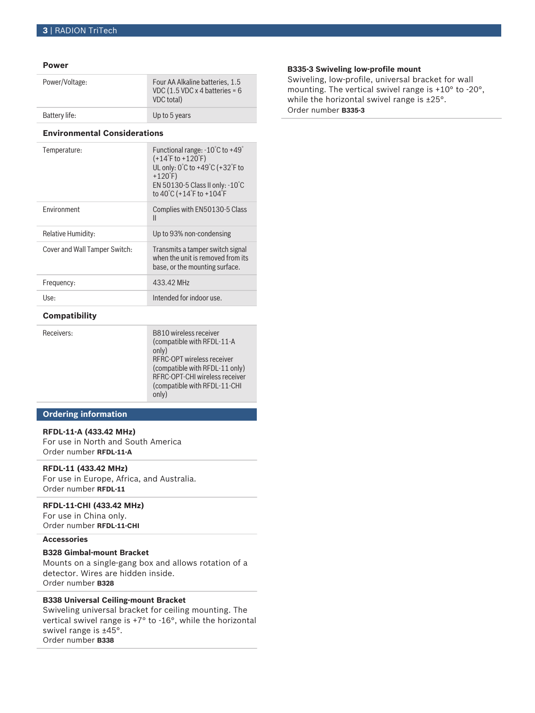#### **Power**

| Power/Voltage: | Four AA Alkaline batteries, 1.5<br>VDC (1.5 VDC x 4 batteries = $6$<br>VDC total) |
|----------------|-----------------------------------------------------------------------------------|
| Battery life:  | Up to 5 years                                                                     |

#### **Environmental Considerations**

| Temperature:                  | Functional range: $-10^{\circ}$ C to $+49^{\circ}$<br>$(+14^{\circ}$ F to $+120^{\circ}$ F)<br>UL only: 0°C to +49°C (+32°F to<br>$+120$ F)<br>EN 50130-5 Class II only: $-10^{\circ}$ C<br>to 40°C (+14°F to +104°F |
|-------------------------------|----------------------------------------------------------------------------------------------------------------------------------------------------------------------------------------------------------------------|
| <b>Fnvironment</b>            | Complies with EN50130-5 Class<br>$\mathsf{II}$                                                                                                                                                                       |
| Relative Humidity:            | Up to 93% non-condensing                                                                                                                                                                                             |
| Cover and Wall Tamper Switch: | Transmits a tamper switch signal<br>when the unit is removed from its<br>base, or the mounting surface.                                                                                                              |
| Frequency:                    | 433.42 MHz                                                                                                                                                                                                           |
| Use:                          | Intended for indoor use.                                                                                                                                                                                             |
|                               |                                                                                                                                                                                                                      |

# **Compatibility**

| Receivers: | B810 wireless receiver<br>(compatible with RFDL-11-A<br>only)<br>RFRC-OPT wireless receiver<br>(compatible with RFDL-11 only)<br>RFRC-OPT-CHI wireless receiver<br>(compatible with RFDL-11-CHI)<br>only) |
|------------|-----------------------------------------------------------------------------------------------------------------------------------------------------------------------------------------------------------|
|------------|-----------------------------------------------------------------------------------------------------------------------------------------------------------------------------------------------------------|

# **Ordering information**

# **RFDL-11-A (433.42 MHz)**

For use in North and South America Order number **RFDL-11-A**

# **RFDL-11 (433.42 MHz)**

For use in Europe, Africa, and Australia. Order number **RFDL-11**

# **RFDL-11-CHI (433.42 MHz)**

For use in China only. Order number **RFDL-11-CHI**

### **Accessories**

# **B328 Gimbal‑mount Bracket**

Mounts on a single-gang box and allows rotation of a detector. Wires are hidden inside. Order number **B328**

# **B338 Universal Ceiling‑mount Bracket**

Swiveling universal bracket for ceiling mounting. The vertical swivel range is +7° to -16°, while the horizontal swivel range is ±45°. Order number **B338**

# **B335-3 Swiveling low-profile mount**

Swiveling, low-profile, universal bracket for wall mounting. The vertical swivel range is +10° to -20°, while the horizontal swivel range is ±25°. Order number **B335-3**